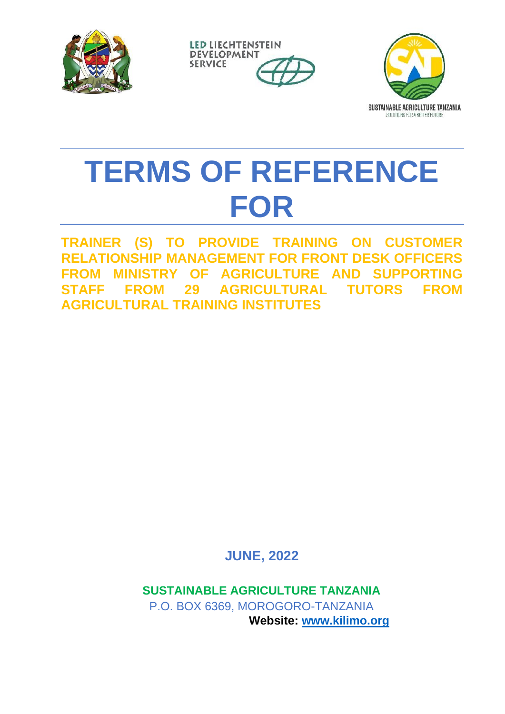





# **TERMS OF REFERENCE FOR**

**TRAINER (S) TO PROVIDE TRAINING ON CUSTOMER RELATIONSHIP MANAGEMENT FOR FRONT DESK OFFICERS FROM MINISTRY OF AGRICULTURE AND SUPPORTING STAFF FROM 29 AGRICULTURAL TUTORS FROM AGRICULTURAL TRAINING INSTITUTES**

**JUNE, 2022**

**SUSTAINABLE AGRICULTURE TANZANIA** P.O. BOX 6369, MOROGORO-TANZANIA **Website: [www.kilimo.org](http://www.kilimo.org/)**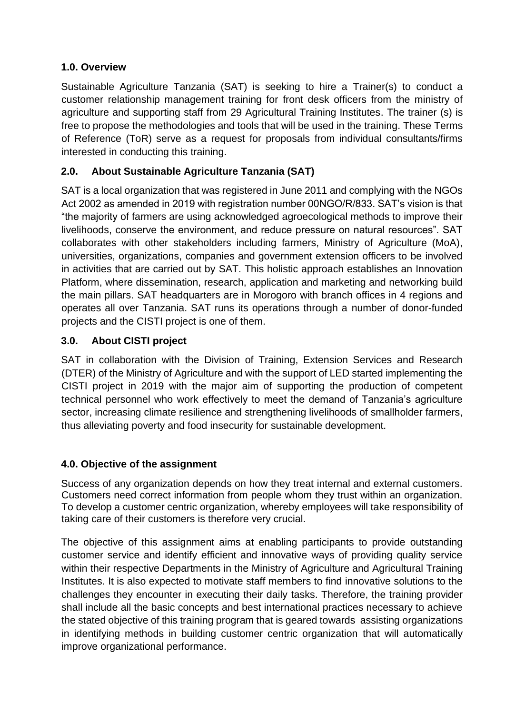# **1.0. Overview**

Sustainable Agriculture Tanzania (SAT) is seeking to hire a Trainer(s) to conduct a customer relationship management training for front desk officers from the ministry of agriculture and supporting staff from 29 Agricultural Training Institutes. The trainer (s) is free to propose the methodologies and tools that will be used in the training. These Terms of Reference (ToR) serve as a request for proposals from individual consultants/firms interested in conducting this training.

# **2.0. About Sustainable Agriculture Tanzania (SAT)**

SAT is a local organization that was registered in June 2011 and complying with the NGOs Act 2002 as amended in 2019 with registration number 00NGO/R/833. SAT's vision is that "the majority of farmers are using acknowledged agroecological methods to improve their livelihoods, conserve the environment, and reduce pressure on natural resources". SAT collaborates with other stakeholders including farmers, Ministry of Agriculture (MoA), universities, organizations, companies and government extension officers to be involved in activities that are carried out by SAT. This holistic approach establishes an Innovation Platform, where dissemination, research, application and marketing and networking build the main pillars. SAT headquarters are in Morogoro with branch offices in 4 regions and operates all over Tanzania. SAT runs its operations through a number of donor-funded projects and the CISTI project is one of them.

# **3.0. About CISTI project**

SAT in collaboration with the Division of Training, Extension Services and Research (DTER) of the Ministry of Agriculture and with the support of LED started implementing the CISTI project in 2019 with the major aim of supporting the production of competent technical personnel who work effectively to meet the demand of Tanzania's agriculture sector, increasing climate resilience and strengthening livelihoods of smallholder farmers, thus alleviating poverty and food insecurity for sustainable development.

#### **4.0. Objective of the assignment**

Success of any organization depends on how they treat internal and external customers. Customers need correct information from people whom they trust within an organization. To develop a customer centric organization, whereby employees will take responsibility of taking care of their customers is therefore very crucial.

The objective of this assignment aims at enabling participants to provide outstanding customer service and identify efficient and innovative ways of providing quality service within their respective Departments in the Ministry of Agriculture and Agricultural Training Institutes. It is also expected to motivate staff members to find innovative solutions to the challenges they encounter in executing their daily tasks. Therefore, the training provider shall include all the basic concepts and best international practices necessary to achieve the stated objective of this training program that is geared towards assisting organizations in identifying methods in building customer centric organization that will automatically improve organizational performance.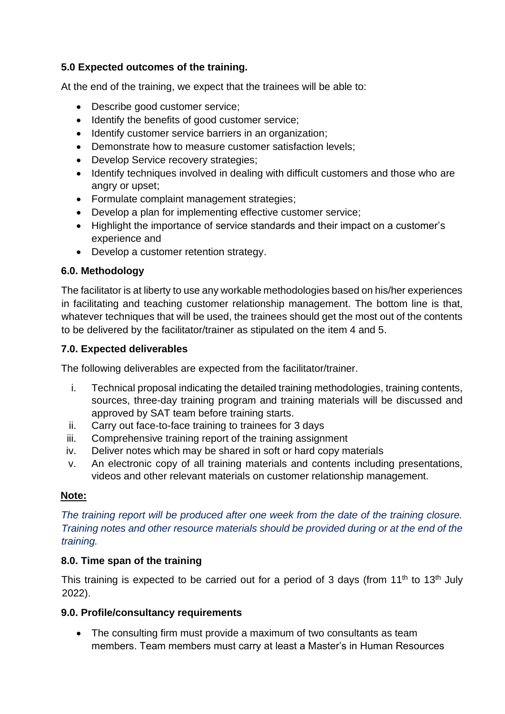# **5.0 Expected outcomes of the training.**

At the end of the training, we expect that the trainees will be able to:

- Describe good customer service;
- Identify the benefits of good customer service;
- Identify customer service barriers in an organization;
- Demonstrate how to measure customer satisfaction levels;
- Develop Service recovery strategies;
- Identify techniques involved in dealing with difficult customers and those who are angry or upset;
- Formulate complaint management strategies;
- Develop a plan for implementing effective customer service;
- Highlight the importance of service standards and their impact on a customer's experience and
- Develop a customer retention strategy.

# **6.0. Methodology**

The facilitator is at liberty to use any workable methodologies based on his/her experiences in facilitating and teaching customer relationship management. The bottom line is that, whatever techniques that will be used, the trainees should get the most out of the contents to be delivered by the facilitator/trainer as stipulated on the item 4 and 5.

#### **7.0. Expected deliverables**

The following deliverables are expected from the facilitator/trainer.

- i. Technical proposal indicating the detailed training methodologies, training contents, sources, three-day training program and training materials will be discussed and approved by SAT team before training starts.
- ii. Carry out face-to-face training to trainees for 3 days
- iii. Comprehensive training report of the training assignment
- iv. Deliver notes which may be shared in soft or hard copy materials
- v. An electronic copy of all training materials and contents including presentations, videos and other relevant materials on customer relationship management.

#### **Note:**

*The training report will be produced after one week from the date of the training closure. Training notes and other resource materials should be provided during or at the end of the training.*

#### **8.0. Time span of the training**

This training is expected to be carried out for a period of 3 days (from 11<sup>th</sup> to 13<sup>th</sup> July 2022).

#### **9.0. Profile/consultancy requirements**

• The consulting firm must provide a maximum of two consultants as team members. Team members must carry at least a Master's in Human Resources